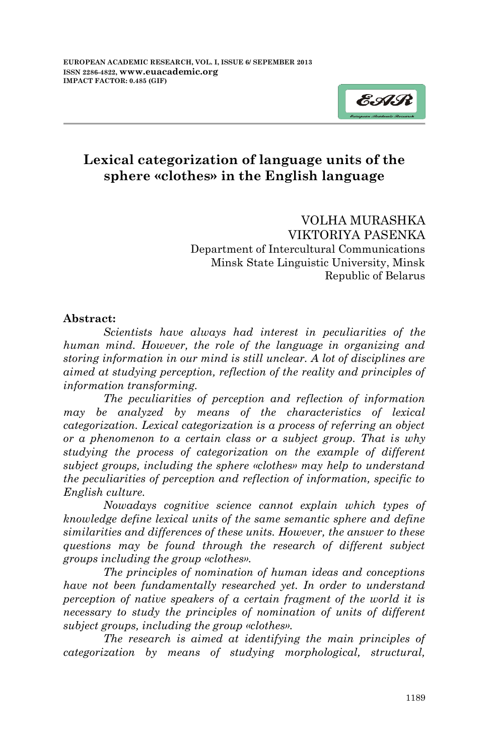

## **Lexical categorization of language units of the sphere «clothes» in the English language**

VOLHA MURASHKA VIKTORIYA PASENKA Department of Intercultural Communications Minsk State Linguistic University, Minsk Republic of Belarus

#### **Abstract:**

*Scientists have always had interest in peculiarities of the human mind. However, the role of the language in organizing and storing information in our mind is still unclear. A lot of disciplines are aimed at studying perception, reflection of the reality and principles of information transforming.* 

*The peculiarities of perception and reflection of information may be analyzed by means of the characteristics of lexical categorization. Lexical categorization is a process of referring an object or a phenomenon to a certain class or a subject group. That is why studying the process of categorization on the example of different subject groups, including the sphere «clothes» may help to understand the peculiarities of perception and reflection of information, specific to English culture.*

*Nowadays cognitive science cannot explain which types of knowledge define lexical units of the same semantic sphere and define similarities and differences of these units. However, the answer to these questions may be found through the research of different subject groups including the group «clothes».* 

*The principles of nomination of human ideas and conceptions have not been fundamentally researched yet. In order to understand perception of native speakers of a certain fragment of the world it is necessary to study the principles of nomination of units of different subject groups, including the group «clothes».*

*The research is aimed at identifying the main principles of categorization by means of studying morphological, structural,*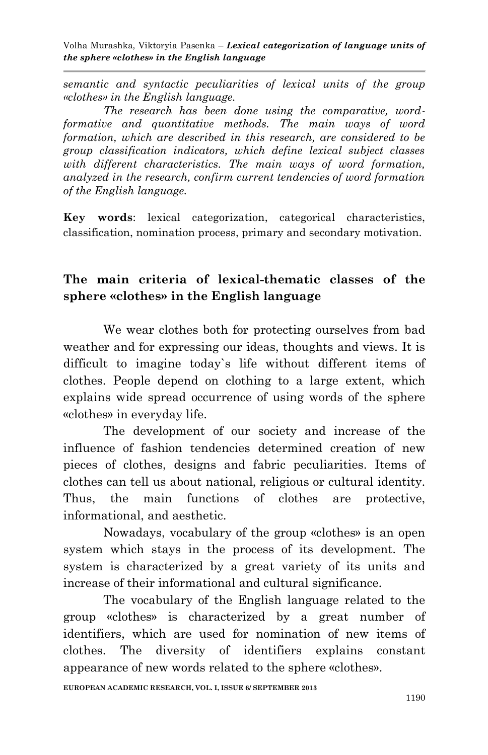*semantic and syntactic peculiarities of lexical units of the group «clothes» in the English language.* 

*The research has been done using the comparative, wordformative and quantitative methods. The main ways of word formation, which are described in this research, are considered to be group classification indicators, which define lexical subject classes with different characteristics. The main ways of word formation, analyzed in the research, confirm current tendencies of word formation of the English language.*

**Key words**: lexical categorization, categorical characteristics, classification, nomination process, primary and secondary motivation.

#### **The main criteria of lexical-thematic classes of the sphere «clothes» in the English language**

We wear clothes both for protecting ourselves from bad weather and for expressing our ideas, thoughts and views. It is difficult to imagine today`s life without different items of clothes. People depend on clothing to a large extent, which explains wide spread occurrence of using words of the sphere «clothes» in everyday life.

The development of our society and increase of the influence of fashion tendencies determined creation of new pieces of clothes, designs and fabric peculiarities. Items of clothes can tell us about national, religious or cultural identity. Thus, the main functions of clothes are protective, informational, and aesthetic.

Nowadays, vocabulary of the group «clothes» is an open system which stays in the process of its development. The system is characterized by a great variety of its units and increase of their informational and cultural significance.

The vocabulary of the English language related to the group «clothes» is characterized by a great number of identifiers, which are used for nomination of new items of clothes. The diversity of identifiers explains constant appearance of new words related to the sphere «clothes».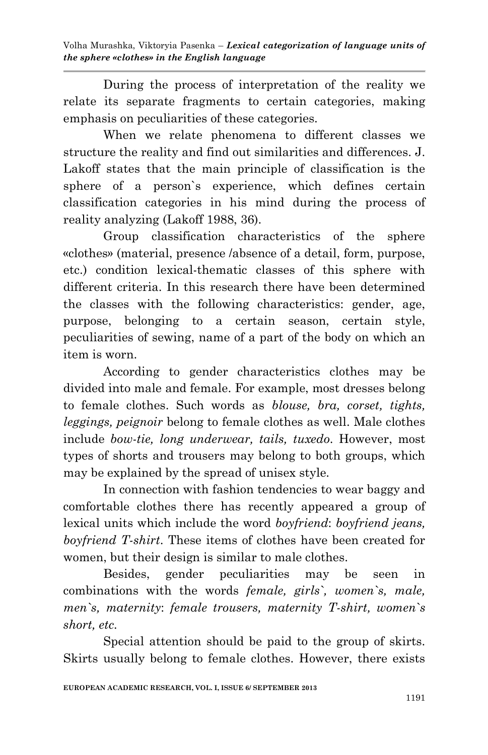During the process of interpretation of the reality we relate its separate fragments to certain categories, making emphasis on peculiarities of these categories.

When we relate phenomena to different classes we structure the reality and find out similarities and differences. J. Lakoff states that the main principle of classification is the sphere of a person`s experience, which defines certain classification categories in his mind during the process of reality analyzing (Lakoff 1988, 36).

Group classification characteristics of the sphere «clothes» (material, presence /absence of a detail, form, purpose, etc.) condition lexical-thematic classes of this sphere with different criteria. In this research there have been determined the classes with the following characteristics: gender, age, purpose, belonging to a certain season, certain style, peculiarities of sewing, name of a part of the body on which an item is worn.

According to gender characteristics clothes may be divided into male and female. For example, most dresses belong to female clothes. Such words as *blouse, bra, corset, tights, leggings, peignoir* belong to female clothes as well. Male clothes include *bow-tie, long underwear, tails, tuxedo*. However, most types of shorts and trousers may belong to both groups, which may be explained by the spread of unisex style.

In connection with fashion tendencies to wear baggy and comfortable clothes there has recently appeared a group of lexical units which include the word *boyfriend*: *boyfriend jeans, boyfriend T-shirt*. These items of clothes have been created for women, but their design is similar to male clothes.

Besides, gender peculiarities may be seen in combinations with the words *female, girls`, women`s, male, men`s, maternity*: *female trousers, maternity T-shirt, women`s short, etc.*

Special attention should be paid to the group of skirts. Skirts usually belong to female clothes. However, there exists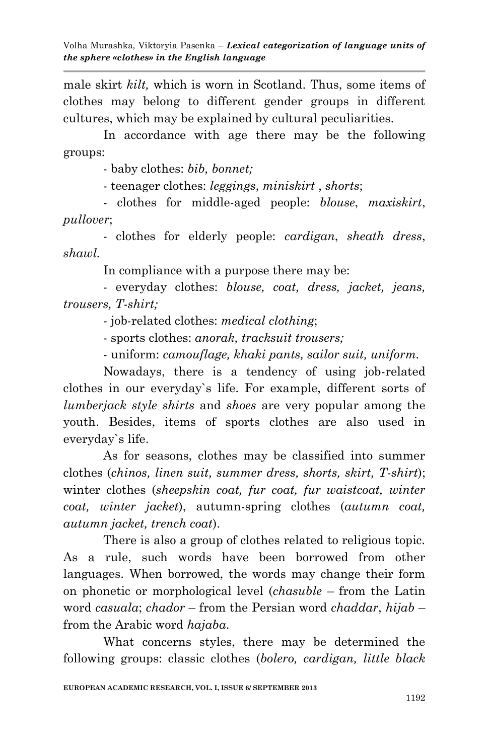male skirt *kilt,* which is worn in Scotland. Thus, some items of clothes may belong to different gender groups in different cultures, which may be explained by cultural peculiarities.

In accordance with age there may be the following groups:

- baby clothes: *bib, bonnet;*

- teenager clothes: *leggings*, *miniskirt* , *shorts*;

- clothes for middle-aged people: *blouse*, *maxiskirt*, *pullover*;

- clothes for elderly people: *cardigan*, *sheath dress*, *shawl.*

In compliance with a purpose there may be:

- everyday clothes: *blouse, coat, dress, jacket, jeans, trousers, T-shirt;*

*-* job-related clothes: *medical clothing*;

- sports clothes: *anorak, tracksuit trousers;*

- uniform: *camouflage, khaki pants, sailor suit, uniform.*

Nowadays, there is a tendency of using job-related clothes in our everyday`s life. For example, different sorts of *lumberjack style shirts* and *shoes* are very popular among the youth. Besides, items of sports clothes are also used in everyday`s life.

As for seasons, clothes may be classified into summer clothes (*chinos, linen suit, summer dress, shorts, skirt, T-shirt*); winter clothes (*sheepskin coat, fur coat, fur waistcoat, winter coat, winter jacket*), autumn-spring clothes (*autumn coat, autumn jacket, trench coat*).

There is also a group of clothes related to religious topic. As a rule, such words have been borrowed from other languages. When borrowed, the words may change their form on phonetic or morphological level (*chasuble* – from the Latin word *casuala*; *chador* – from the Persian word *chaddar*, *hijab* – from the Arabic word *hajaba*.

What concerns styles, there may be determined the following groups: сlassic clothes (*bolero, cardigan, little black*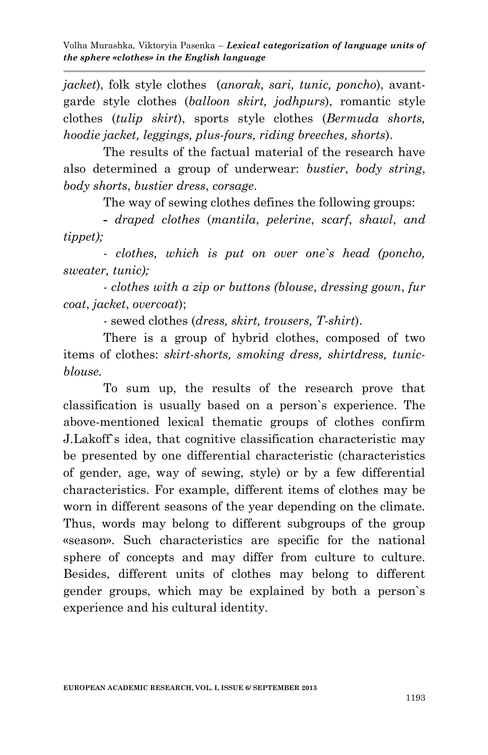*jacket*), folk style clothes (*anorak, sari, tunic, poncho*), avantgarde style clothes (*balloon skirt, jodhpurs*), romantic style clothes (*tulip skirt*), sports style clothes (*Bermuda shorts, hoodie jacket, leggings, plus-fours, riding breeches, shorts*).

The results of the factual material of the research have also determined a group of underwear: *bustier*, *body string*, *body shorts*, *bustier dress*, *corsage*.

The way of sewing clothes defines the following groups:

**-** *draped clothes* (*mantila*, *pelerine*, *scarf*, *shawl*, *and tippet);*

*- clothes, which is put on over one`s head (poncho, sweater, tunic);* 

*- clothes with a zip or buttons (blouse*, *dressing gown*, *fur coat*, *jacket*, *overcoat*);

- sewed clothes (*dress, skirt, trousers, T-shirt*).

There is a group of hybrid clothes, composed of two items of clothes: *skirt-shorts, smoking dress, shirtdress, tunicblouse.*

To sum up, the results of the research prove that classification is usually based on a person`s experience. The above-mentioned lexical thematic groups of clothes confirm J.Lakoff`s idea, that cognitive classification characteristic may be presented by one differential characteristic (characteristics of gender, age, way of sewing, style) or by a few differential characteristics. For example, different items of clothes may be worn in different seasons of the year depending on the climate. Thus, words may belong to different subgroups of the group «season». Such characteristics are specific for the national sphere of concepts and may differ from culture to culture. Besides, different units of clothes may belong to different gender groups, which may be explained by both a person`s experience and his cultural identity.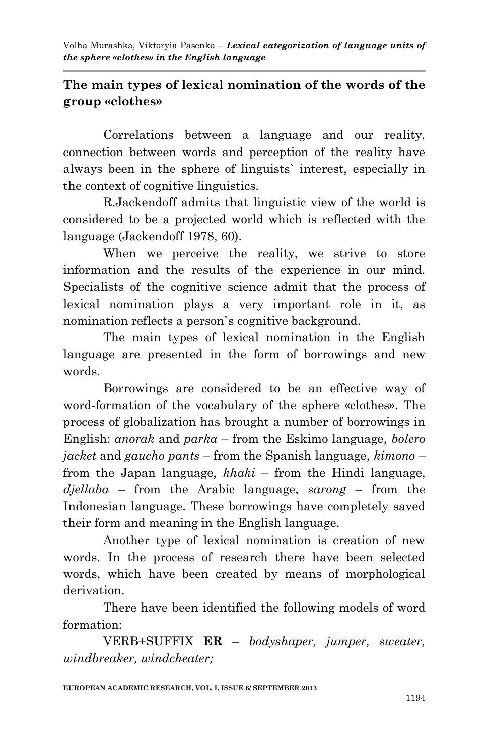## **The main types of lexical nomination of the words of the group «clothes»**

Correlations between a language and our reality, connection between words and perception of the reality have always been in the sphere of linguists` interest, especially in the context of cognitive linguistics.

R.Jackendoff admits that linguistic view of the world is considered to be a projected world which is reflected with the language (Jackendoff 1978, 60).

When we perceive the reality, we strive to store information and the results of the experience in our mind. Specialists of the cognitive science admit that the process of lexical nomination plays a very important role in it, as nomination reflects a person`s cognitive background.

The main types of lexical nomination in the English language are presented in the form of borrowings and new words.

Borrowings are considered to be an effective way of word-formation of the vocabulary of the sphere «clothes». The process of globalization has brought a number of borrowings in English: *anorak* and *parka* – from the Eskimo language, *bolero jacket* and *gaucho pants* – from the Spanish language, *kimono* – from the Japan language, *khaki* – from the Hindi language, *djellaba* – from the Arabic language, *sarong* – from the Indonesian language. These borrowings have completely saved their form and meaning in the English language.

Another type of lexical nomination is creation of new words. In the process of research there have been selected words, which have been created by means of morphological derivation.

There have been identified the following models of word formation:

VERB+SUFFIX **ER** – *bodyshaper, jumper, sweater, windbreaker, windcheater;*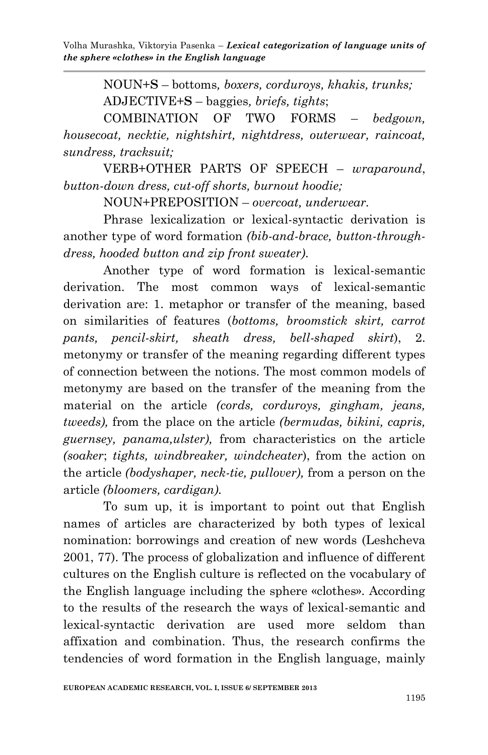NOUN+**S** – bottoms*, boxers, corduroys, khakis, trunks;* ADJECTIVE+**S** – baggies*, briefs, tights*;

COMBINATION OF TWO FORMS – *bedgown, housecoat, necktie, nightshirt, nightdress, outerwear, raincoat, sundress, tracksuit;*

VERB+OTHER PARTS OF SPEECH – *wraparound*, *button-down dress, cut-off shorts, burnout hoodie;*

NOUN+PREPOSITION – *overcoat, underwear.*

Phrase lexicalization or lexical-syntactic derivation is another type of word formation *(bib-and-brace, button-throughdress, hooded button and zip front sweater)*.

Another type of word formation is lexical-semantic derivation. The most common ways of lexical-semantic derivation are: 1. metaphor or transfer of the meaning, based on similarities of features (*bottoms, broomstick skirt, carrot pants, pencil-skirt, sheath dress, bell-shaped skirt*), 2. metonymy or transfer of the meaning regarding different types of connection between the notions. The most common models of metonymy are based on the transfer of the meaning from the material on the article *(cords, corduroys, gingham, jeans, tweeds),* from the place on the article *(bermudas, bikini, capris, guernsey, panama,ulster),* from characteristics on the article *(soaker*; *tights, windbreaker, windcheater*), from the action on the article *(bodyshaper, neck-tie, pullover),* from a person on the article *(bloomers, cardigan).*

To sum up, it is important to point out that English names of articles are characterized by both types of lexical nomination: borrowings and creation of new words (Leshcheva 2001, 77). The process of globalization and influence of different cultures on the English culture is reflected on the vocabulary of the English language including the sphere «clothes». According to the results of the research the ways of lexical-semantic and lexical-syntactic derivation are used more seldom than affixation and combination. Thus, the research confirms the tendencies of word formation in the English language, mainly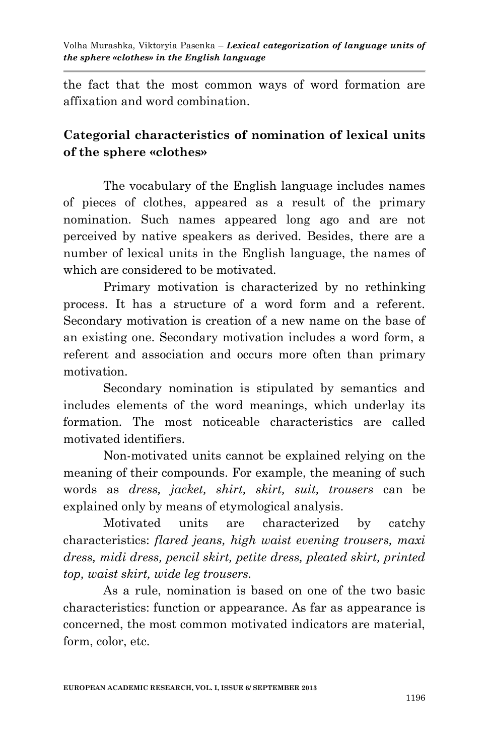the fact that the most common ways of word formation are affixation and word combination.

# **Categorial characteristics of nomination of lexical units of the sphere «clothes»**

The vocabulary of the English language includes names of pieces of clothes, appeared as a result of the primary nomination. Such names appeared long ago and are not perceived by native speakers as derived. Besides, there are a number of lexical units in the English language, the names of which are considered to be motivated.

Primary motivation is characterized by no rethinking process. It has a structure of a word form and a referent. Secondary motivation is creation of a new name on the base of an existing one. Secondary motivation includes a word form, a referent and association and occurs more often than primary motivation.

Secondary nomination is stipulated by semantics and includes elements of the word meanings, which underlay its formation. The most noticeable characteristics are called motivated identifiers.

Non-motivated units cannot be explained relying on the meaning of their compounds. For example, the meaning of such words as *dress, jacket, shirt, skirt, suit, trousers* can be explained only by means of etymological analysis.

Motivated units are characterized by catchy characteristics: *flared jeans, high waist evening trousers, maxi dress, midi dress, pencil skirt, petite dress, pleated skirt, printed top, waist skirt, wide leg trousers.*

As a rule, nomination is based on one of the two basic characteristics: function or appearance. As far as appearance is concerned, the most common motivated indicators are material, form, color, etc.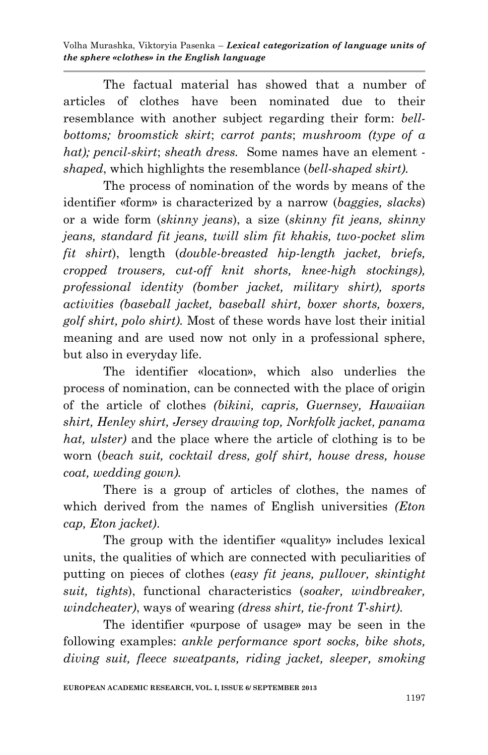The factual material has showed that a number of articles of clothes have been nominated due to their resemblance with another subject regarding their form: *bellbottoms; broomstick skirt*; *carrot pants*; *mushroom (type of a hat); pencil-skirt*; *sheath dress.* Some names have an element  *shaped*, which highlights the resemblance (*bell-shaped skirt).*

The process of nomination of the words by means of the identifier «form» is characterized by a narrow (*baggies, slacks*) or a wide form (*skinny jeans*), a size (*skinny fit jeans, skinny jeans, standard fit jeans, twill slim fit khakis, two-pocket slim fit shirt*), length (*double-breasted hip-length jacket, briefs, cropped trousers, cut-off knit shorts, knee-high stockings), professional identity (bomber jacket, military shirt), sports activities (baseball jacket, baseball shirt, boxer shorts, boxers, golf shirt, polo shirt).* Most of these words have lost their initial meaning and are used now not only in a professional sphere, but also in everyday life.

The identifier «location», which also underlies the process of nomination, can be connected with the place of origin of the article of clothes *(bikini, capris, Guernsey, Hawaiian shirt, Henley shirt, Jersey drawing top, Norkfolk jacket, panama hat, ulster)* and the place where the article of clothing is to be worn (*beach suit, cocktail dress, golf shirt, house dress, house coat, wedding gown).*

There is a group of articles of clothes, the names of which derived from the names of English universities *(Eton cap, Eton jacket)*.

The group with the identifier «quality» includes lexical units, the qualities of which are connected with peculiarities of putting on pieces of clothes (*easy fit jeans, pullover, skintight suit, tights*), functional characteristics (*soaker, windbreaker, windcheater)*, ways of wearing *(dress shirt, tie-front T-shirt).*

The identifier «purpose of usage» may be seen in the following examples: *ankle performance sport socks, bike shots, diving suit, fleece sweatpants, riding jacket, sleeper, smoking*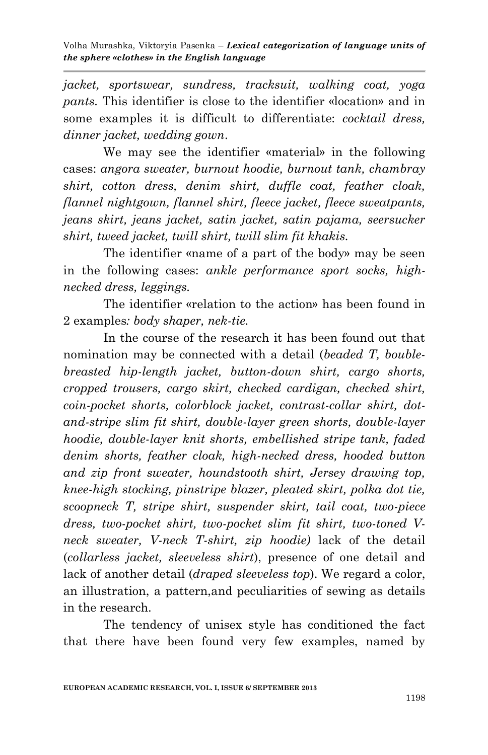*jacket, sportswear, sundress, tracksuit, walking coat, yoga pants.* This identifier is close to the identifier «location» and in some examples it is difficult to differentiate: *cocktail dress, dinner jacket, wedding gown*.

We may see the identifier «material» in the following cases: *angora sweater, burnout hoodie, burnout tank, chambray shirt, cotton dress, denim shirt, duffle coat, feather cloak, flannel nightgown, flannel shirt, fleece jacket, fleece sweatpants, jeans skirt, jeans jacket, satin jacket, satin pajama, seersucker shirt, tweed jacket, twill shirt, twill slim fit khakis.*

The identifier «name of a part of the body» may be seen in the following cases: *ankle performance sport socks, highnecked dress, leggings.*

The identifier «relation to the action» has been found in 2 examples*: body shaper, nek-tie.*

In the course of the research it has been found out that nomination may be connected with a detail (*beaded T, boublebreasted hip-length jacket, button-down shirt, cargo shorts, cropped trousers, cargo skirt, checked cardigan, checked shirt, coin-pocket shorts, colorblock jacket, contrast-collar shirt, dotand-stripe slim fit shirt, double-layer green shorts, double-layer hoodie, double-layer knit shorts, embellished stripe tank, faded denim shorts, feather cloak, high-necked dress, hooded button and zip front sweater, houndstooth shirt, Jersey drawing top, knee-high stocking, pinstripe blazer, pleated skirt, polka dot tie, scoopneck T, stripe shirt, suspender skirt, tail coat, two-piece dress, two-pocket shirt, two-pocket slim fit shirt, two-toned Vneck sweater, V-neck T-shirt, zip hoodie)* lack of the detail (*collarless jacket, sleeveless shirt*), presence of one detail and lack of another detail (*draped sleeveless top*). We regard a color, an illustration, a pattern,and peculiarities of sewing as details in the research.

The tendency of unisex style has conditioned the fact that there have been found very few examples, named by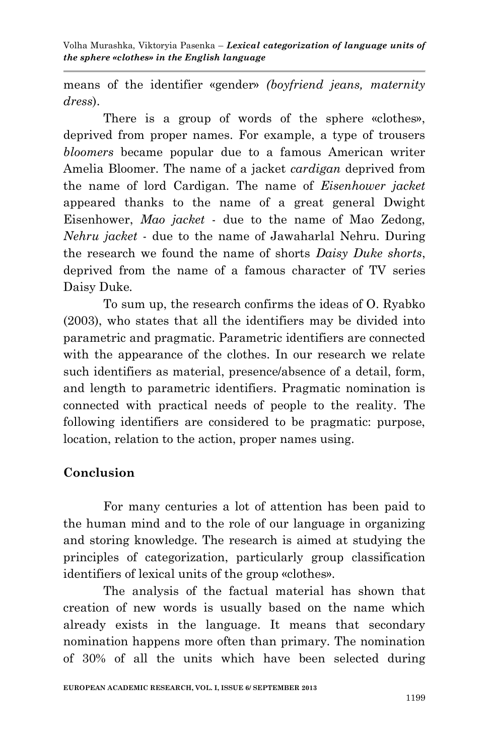means of the identifier «gender» *(boyfriend jeans, maternity dress*).

There is a group of words of the sphere «clothes», deprived from proper names. For example, a type of trousers *bloomers* became popular due to a famous American writer Amelia Bloomer. The name of a jacket *cardigan* deprived from the name of lord Cardigan. The name of *Eisenhower jacket* appeared thanks to the name of a great general Dwight Eisenhower, *Mao jacket* - due to the name of Mao Zedong, *Nehru jacket* - due to the name of Jawaharlal Nehru. During the research we found the name of shorts *Daisy Duke shorts*, deprived from the name of a famous character of TV series Daisy Duke*.*

To sum up, the research confirms the ideas of O. Ryabko (2003), who states that all the identifiers may be divided into parametric and pragmatic. Parametric identifiers are connected with the appearance of the clothes. In our research we relate such identifiers as material, presence/absence of a detail, form, and length to parametric identifiers. Pragmatic nomination is connected with practical needs of people to the reality. The following identifiers are considered to be pragmatic: purpose, location, relation to the action, proper names using.

#### **Conclusion**

For many centuries a lot of attention has been paid to the human mind and to the role of our language in organizing and storing knowledge. The research is aimed at studying the principles of categorization, particularly group classification identifiers of lexical units of the group «clothes».

The analysis of the factual material has shown that creation of new words is usually based on the name which already exists in the language. It means that secondary nomination happens more often than primary. The nomination of 30% of all the units which have been selected during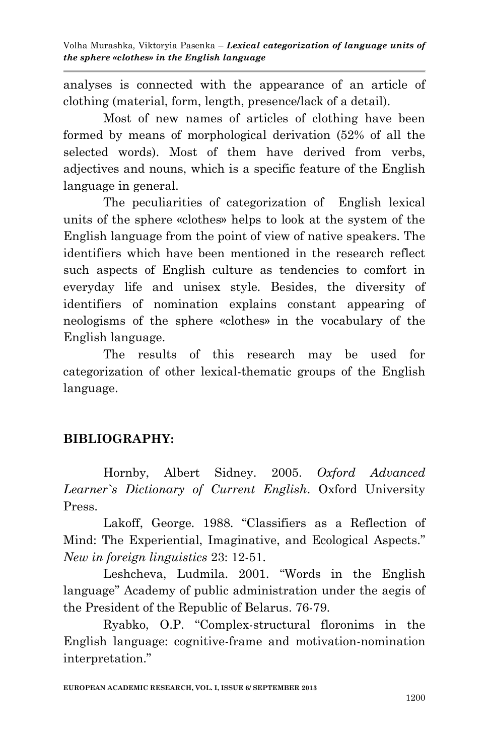analyses is connected with the appearance of an article of clothing (material, form, length, presence/lack of a detail).

Most of new names of articles of clothing have been formed by means of morphological derivation (52% of all the selected words). Most of them have derived from verbs, adjectives and nouns, which is a specific feature of the English language in general.

The peculiarities of categorization of English lexical units of the sphere «clothes» helps to look at the system of the English language from the point of view of native speakers. The identifiers which have been mentioned in the research reflect such aspects of English culture as tendencies to comfort in everyday life and unisex style. Besides, the diversity of identifiers of nomination explains constant appearing of neologisms of the sphere «clothes» in the vocabulary of the English language.

The results of this research may be used for categorization of other lexical-thematic groups of the English language.

# **BIBLIOGRAPHY:**

Hornby, Albert Sidney. 2005. *Oxford Advanced Learner`s Dictionary of Current English*. Oxford University Press.

Lakoff, George. 1988. "Classifiers as a Reflection of Mind: The Experiential, Imaginative, and Ecological Aspects." *New in foreign linguistics* 23: 12-51.

Leshcheva, Ludmila. 2001. "Words in the English language" Academy of public administration under the aegis of the President of the Republic of Belarus. 76-79.

Ryabko, O.P. "Complex-structural floronims in the English language: cognitive-frame and motivation-nomination interpretation."